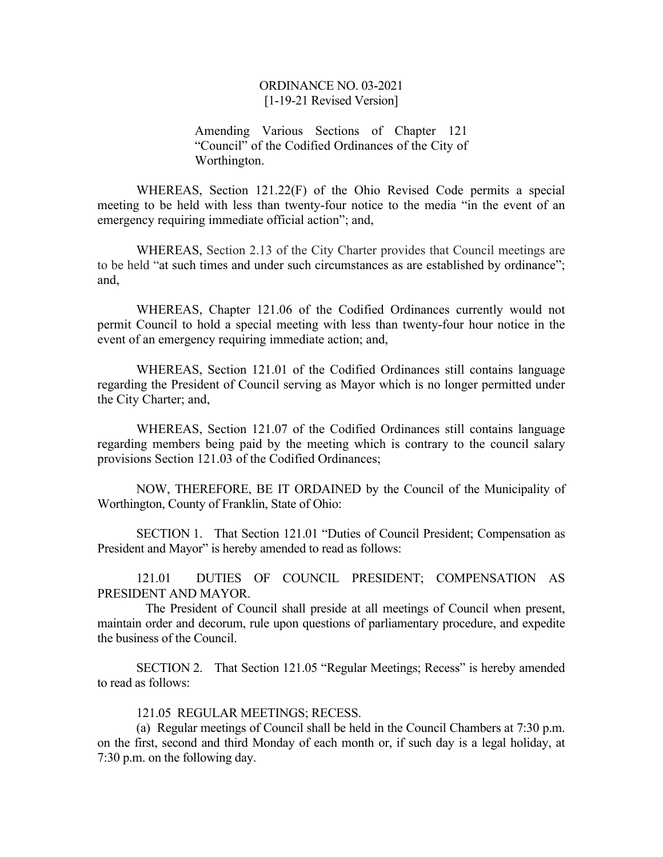Amending Various Sections of Chapter 121 "Council" of the Codified Ordinances of the City of Worthington.

WHEREAS, Section 121.22(F) of the Ohio Revised Code permits a special meeting to be held with less than twenty-four notice to the media "in the event of an emergency requiring immediate official action"; and,

WHEREAS, Section 2.13 of the City Charter provides that Council meetings are to be held "at such times and under such circumstances as are established by ordinance"; and,

WHEREAS, Chapter 121.06 of the Codified Ordinances currently would not permit Council to hold a special meeting with less than twenty-four hour notice in the event of an emergency requiring immediate action; and,

WHEREAS, Section 121.01 of the Codified Ordinances still contains language regarding the President of Council serving as Mayor which is no longer permitted under the City Charter; and,

WHEREAS, Section 121.07 of the Codified Ordinances still contains language regarding members being paid by the meeting which is contrary to the council salary provisions Section 121.03 of the Codified Ordinances;

NOW, THEREFORE, BE IT ORDAINED by the Council of the Municipality of Worthington, County of Franklin, State of Ohio:

SECTION 1. That Section 121.01 "Duties of Council President; Compensation as President and Mayor" is hereby amended to read as follows:

121.01 DUTIES OF COUNCIL PRESIDENT; COMPENSATION AS PRESIDENT AND MAYOR.

 The President of Council shall preside at all meetings of Council when present, maintain order and decorum, rule upon questions of parliamentary procedure, and expedite the business of the Council.

SECTION 2. That Section 121.05 "Regular Meetings; Recess" is hereby amended to read as follows:

121.05 REGULAR MEETINGS; RECESS.

(a) Regular meetings of Council shall be held in the Council Chambers at 7:30 p.m. on the first, second and third Monday of each month or, if such day is a legal holiday, at 7:30 p.m. on the following day.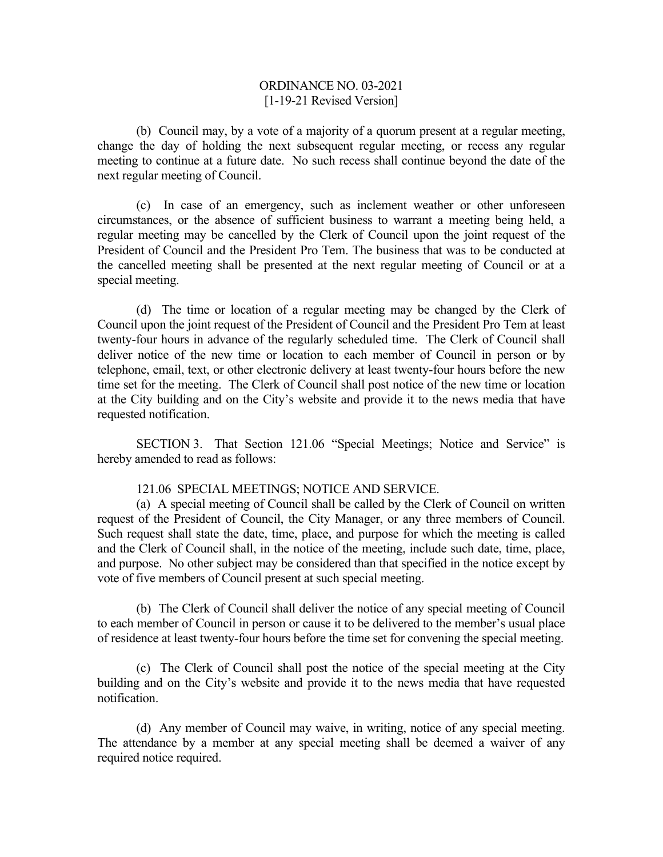(b) Council may, by a vote of a majority of a quorum present at a regular meeting, change the day of holding the next subsequent regular meeting, or recess any regular meeting to continue at a future date. No such recess shall continue beyond the date of the next regular meeting of Council.

(c) In case of an emergency, such as inclement weather or other unforeseen circumstances, or the absence of sufficient business to warrant a meeting being held, a regular meeting may be cancelled by the Clerk of Council upon the joint request of the President of Council and the President Pro Tem. The business that was to be conducted at the cancelled meeting shall be presented at the next regular meeting of Council or at a special meeting.

(d) The time or location of a regular meeting may be changed by the Clerk of Council upon the joint request of the President of Council and the President Pro Tem at least twenty-four hours in advance of the regularly scheduled time. The Clerk of Council shall deliver notice of the new time or location to each member of Council in person or by telephone, email, text, or other electronic delivery at least twenty-four hours before the new time set for the meeting. The Clerk of Council shall post notice of the new time or location at the City building and on the City's website and provide it to the news media that have requested notification.

SECTION 3. That Section 121.06 "Special Meetings; Notice and Service" is hereby amended to read as follows:

#### 121.06 SPECIAL MEETINGS; NOTICE AND SERVICE.

(a) A special meeting of Council shall be called by the Clerk of Council on written request of the President of Council, the City Manager, or any three members of Council. Such request shall state the date, time, place, and purpose for which the meeting is called and the Clerk of Council shall, in the notice of the meeting, include such date, time, place, and purpose. No other subject may be considered than that specified in the notice except by vote of five members of Council present at such special meeting.

(b) The Clerk of Council shall deliver the notice of any special meeting of Council to each member of Council in person or cause it to be delivered to the member's usual place of residence at least twenty-four hours before the time set for convening the special meeting.

(c) The Clerk of Council shall post the notice of the special meeting at the City building and on the City's website and provide it to the news media that have requested notification.

(d) Any member of Council may waive, in writing, notice of any special meeting. The attendance by a member at any special meeting shall be deemed a waiver of any required notice required.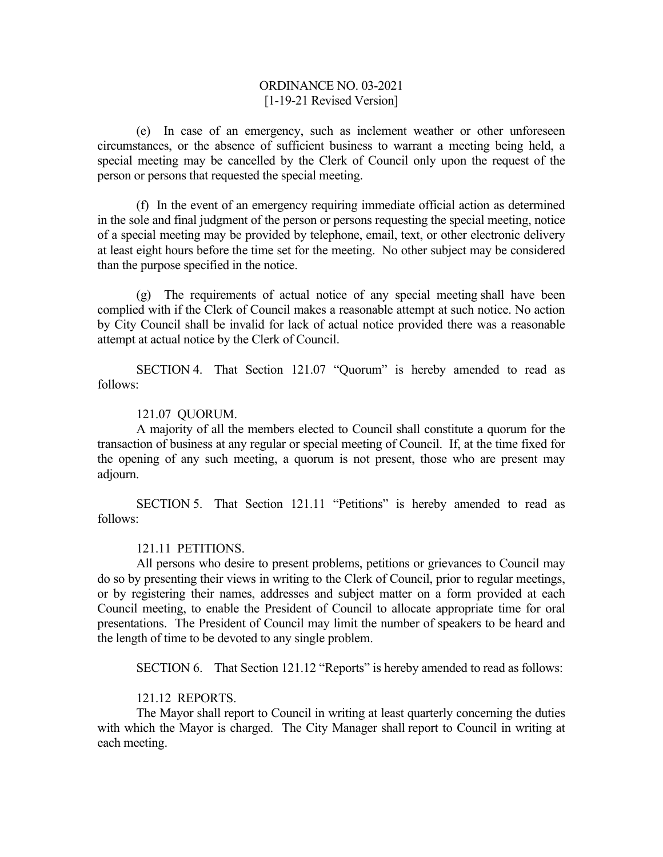(e) In case of an emergency, such as inclement weather or other unforeseen circumstances, or the absence of sufficient business to warrant a meeting being held, a special meeting may be cancelled by the Clerk of Council only upon the request of the person or persons that requested the special meeting.

(f) In the event of an emergency requiring immediate official action as determined in the sole and final judgment of the person or persons requesting the special meeting, notice of a special meeting may be provided by telephone, email, text, or other electronic delivery at least eight hours before the time set for the meeting. No other subject may be considered than the purpose specified in the notice.

(g) The requirements of actual notice of any special meeting shall have been complied with if the Clerk of Council makes a reasonable attempt at such notice. No action by City Council shall be invalid for lack of actual notice provided there was a reasonable attempt at actual notice by the Clerk of Council.

 SECTION 4. That Section 121.07 "Quorum" is hereby amended to read as follows:

#### 121.07 QUORUM.

 A majority of all the members elected to Council shall constitute a quorum for the transaction of business at any regular or special meeting of Council. If, at the time fixed for the opening of any such meeting, a quorum is not present, those who are present may adjourn.

 SECTION 5. That Section 121.11 "Petitions" is hereby amended to read as follows:

### 121.11 PETITIONS.

 All persons who desire to present problems, petitions or grievances to Council may do so by presenting their views in writing to the Clerk of Council, prior to regular meetings, or by registering their names, addresses and subject matter on a form provided at each Council meeting, to enable the President of Council to allocate appropriate time for oral presentations. The President of Council may limit the number of speakers to be heard and the length of time to be devoted to any single problem.

SECTION 6. That Section 121.12 "Reports" is hereby amended to read as follows:

#### 121.12 REPORTS.

 The Mayor shall report to Council in writing at least quarterly concerning the duties with which the Mayor is charged. The City Manager shall report to Council in writing at each meeting.